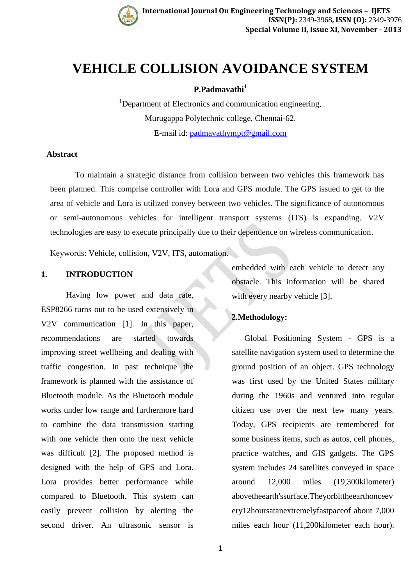

# **VEHICLE COLLISION AVOIDANCE SYSTEM**

# **P.Padmavathi<sup>1</sup>**

<sup>1</sup>Department of Electronics and communication engineering, Murugappa Polytechnic college, Chennai-62. E-mail id: [padmavathympt@gmail.com](mailto:padmavathympt@gmail.com)

### **Abstract**

To maintain a strategic distance from collision between two vehicles this framework has been planned. This comprise controller with Lora and GPS module. The GPS issued to get to the area of vehicle and Lora is utilized convey between two vehicles. The significance of autonomous or semi-autonomous vehicles for intelligent transport systems (ITS) is expanding. V2V technologies are easy to execute principally due to their dependence on wireless communication.

Keywords: Vehicle, collision, V2V, ITS, automation.

## **1. INTRODUCTION**

Having low power and data rate, ESP8266 turns out to be used extensively in V2V communication [1]. In this paper, recommendations are started towards improving street wellbeing and dealing with traffic congestion. In past technique the framework is planned with the assistance of Bluetooth module. As the Bluetooth module works under low range and furthermore hard to combine the data transmission starting with one vehicle then onto the next vehicle was difficult [2]. The proposed method is designed with the help of GPS and Lora. Lora provides better performance while compared to Bluetooth. This system can easily prevent collision by alerting the second driver. An ultrasonic sensor is

embedded with each vehicle to detect any obstacle. This information will be shared with every nearby vehicle [3].

# **2.Methodology:**

Global Positioning System - GPS is a satellite navigation system used to determine the ground position of an object. GPS technology was first used by the United States military during the 1960s and ventured into regular citizen use over the next few many years. Today, GPS recipients are remembered for some business items, such as autos, cell phones, practice watches, and GIS gadgets. The GPS system includes 24 satellites conveyed in space around 12,000 miles (19,300kilometer) abovetheearth'ssurface.Theyorbittheearthonceev ery12hoursatanextremelyfastpaceof about 7,000 miles each hour (11,200kilometer each hour).